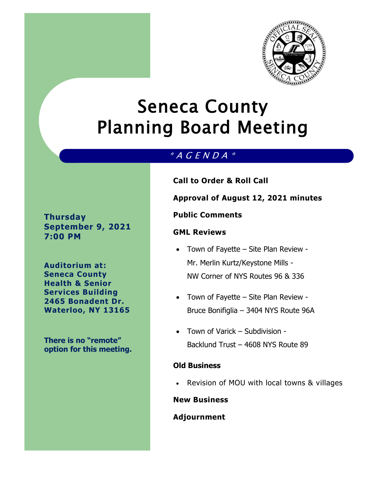

# Seneca County Planning Board Meeting

## \* A G E N D A \*

**Thursday September 9, 2021 7:00 PM**

**Auditorium at: Seneca County Health & Senior Services Building 2465 Bonadent Dr. Waterloo, NY 13165**

**There is no "remote" option for this meeting.**  **Call to Order & Roll Call**

**Approval of August 12, 2021 minutes**

## **Public Comments**

## **GML Reviews**

- Town of Fayette Site Plan Review -Mr. Merlin Kurtz/Keystone Mills - NW Corner of NYS Routes 96 & 336
- Town of Fayette Site Plan Review -Bruce Bonifiglia – 3404 NYS Route 96A
- Town of Varick Subdivision Backlund Trust – 4608 NYS Route 89

## **Old Business**

Revision of MOU with local towns & villages

## **New Business**

## **Adjournment**